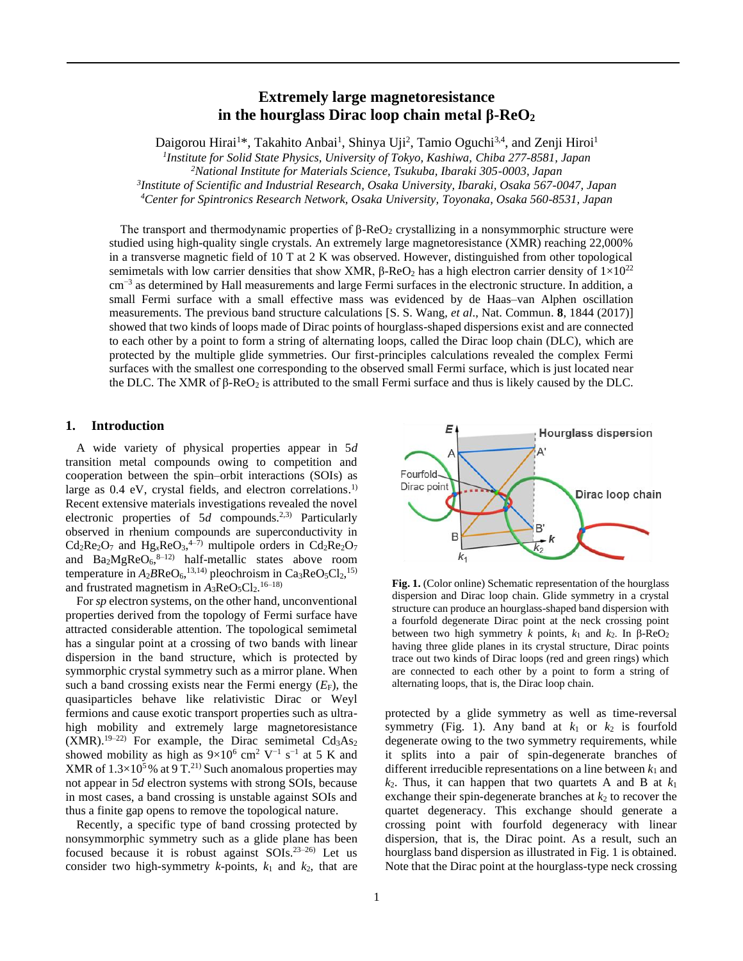# **Extremely large magnetoresistance in the hourglass Dirac loop chain metal β-ReO<sup>2</sup>**

Daigorou Hirai<sup>1\*</sup>, Takahito Anbai<sup>1</sup>, Shinya Uji<sup>2</sup>, Tamio Oguchi<sup>3,4</sup>, and Zenji Hiroi<sup>1</sup>

*1 Institute for Solid State Physics, University of Tokyo, Kashiwa, Chiba 277-8581, Japan*

*<sup>2</sup>National Institute for Materials Science, Tsukuba, Ibaraki 305-0003, Japan*

*3 Institute of Scientific and Industrial Research, Osaka University, Ibaraki, Osaka 567-0047, Japan*

*<sup>4</sup>Center for Spintronics Research Network, Osaka University, Toyonaka, Osaka 560-8531, Japan*

The transport and thermodynamic properties of  $\beta$ -ReO<sub>2</sub> crystallizing in a nonsymmorphic structure were studied using high-quality single crystals. An extremely large magnetoresistance (XMR) reaching 22,000% in a transverse magnetic field of 10 T at 2 K was observed. However, distinguished from other topological semimetals with low carrier densities that show XMR, β-ReO<sub>2</sub> has a high electron carrier density of  $1 \times 10^{22}$ cm<sup>-3</sup> as determined by Hall measurements and large Fermi surfaces in the electronic structure. In addition, a small Fermi surface with a small effective mass was evidenced by de Haas–van Alphen oscillation measurements. The previous band structure calculations [S. S. Wang, *et al*., Nat. Commun. **8**, 1844 (2017)] showed that two kinds of loops made of Dirac points of hourglass-shaped dispersions exist and are connected to each other by a point to form a string of alternating loops, called the Dirac loop chain (DLC), which are protected by the multiple glide symmetries. Our first-principles calculations revealed the complex Fermi surfaces with the smallest one corresponding to the observed small Fermi surface, which is just located near the DLC. The XMR of  $\beta$ -ReO<sub>2</sub> is attributed to the small Fermi surface and thus is likely caused by the DLC.

# **1. Introduction**

A wide variety of physical properties appear in 5*d* transition metal compounds owing to competition and cooperation between the spin–orbit interactions (SOIs) as large as 0.4 eV, crystal fields, and electron correlations.<sup>1)</sup> Recent extensive materials investigations revealed the novel electronic properties of 5*d* compounds. 2,3) Particularly observed in rhenium compounds are superconductivity in  $Cd_2$ Re<sub>2</sub>O<sub>7</sub> and Hg<sub>x</sub>ReO<sub>3</sub>,<sup>4-7)</sup> multipole orders in Cd<sub>2</sub>Re<sub>2</sub>O<sub>7</sub> and  $Ba<sub>2</sub>MgReO<sub>6</sub>,<sup>8-12</sup>$  half-metallic states above room temperature in  $A_2 B \text{ReO}_6$ ,  $^{13,14}$  pleochroism in Ca<sub>3</sub>ReO<sub>5</sub>Cl<sub>2</sub>,  $^{15)}$ and frustrated magnetism in  $A_3$ ReO<sub>5</sub>Cl<sub>2</sub>.<sup>16–18)</sup>

For *sp* electron systems, on the other hand, unconventional properties derived from the topology of Fermi surface have attracted considerable attention. The topological semimetal has a singular point at a crossing of two bands with linear dispersion in the band structure, which is protected by symmorphic crystal symmetry such as a mirror plane. When such a band crossing exists near the Fermi energy  $(E_F)$ , the quasiparticles behave like relativistic Dirac or Weyl fermions and cause exotic transport properties such as ultrahigh mobility and extremely large magnetoresistance  $(XMR)$ .<sup>19-22)</sup> For example, the Dirac semimetal Cd<sub>3</sub>As<sub>2</sub> showed mobility as high as  $9\times10^6$  cm<sup>2</sup> V<sup>-1</sup> s<sup>-1</sup> at 5 K and XMR of  $1.3 \times 10^5$ % at 9 T.<sup>21)</sup> Such anomalous properties may not appear in 5*d* electron systems with strong SOIs, because in most cases, a band crossing is unstable against SOIs and thus a finite gap opens to remove the topological nature.

Recently, a specific type of band crossing protected by nonsymmorphic symmetry such as a glide plane has been focused because it is robust against SOIs.<sup>23-26)</sup> Let us consider two high-symmetry  $k$ -points,  $k_1$  and  $k_2$ , that are



**Fig. 1.** (Color online) Schematic representation of the hourglass dispersion and Dirac loop chain. Glide symmetry in a crystal structure can produce an hourglass-shaped band dispersion with a fourfold degenerate Dirac point at the neck crossing point between two high symmetry *k* points,  $k_1$  and  $k_2$ . In β-ReO<sub>2</sub> having three glide planes in its crystal structure, Dirac points trace out two kinds of Dirac loops (red and green rings) which are connected to each other by a point to form a string of alternating loops, that is, the Dirac loop chain.

protected by a glide symmetry as well as time-reversal symmetry (Fig. 1). Any band at  $k_1$  or  $k_2$  is fourfold degenerate owing to the two symmetry requirements, while it splits into a pair of spin-degenerate branches of different irreducible representations on a line between  $k_1$  and  $k_2$ . Thus, it can happen that two quartets A and B at  $k_1$ exchange their spin-degenerate branches at  $k_2$  to recover the quartet degeneracy. This exchange should generate a crossing point with fourfold degeneracy with linear dispersion, that is, the Dirac point. As a result, such an hourglass band dispersion as illustrated in Fig. 1 is obtained. Note that the Dirac point at the hourglass-type neck crossing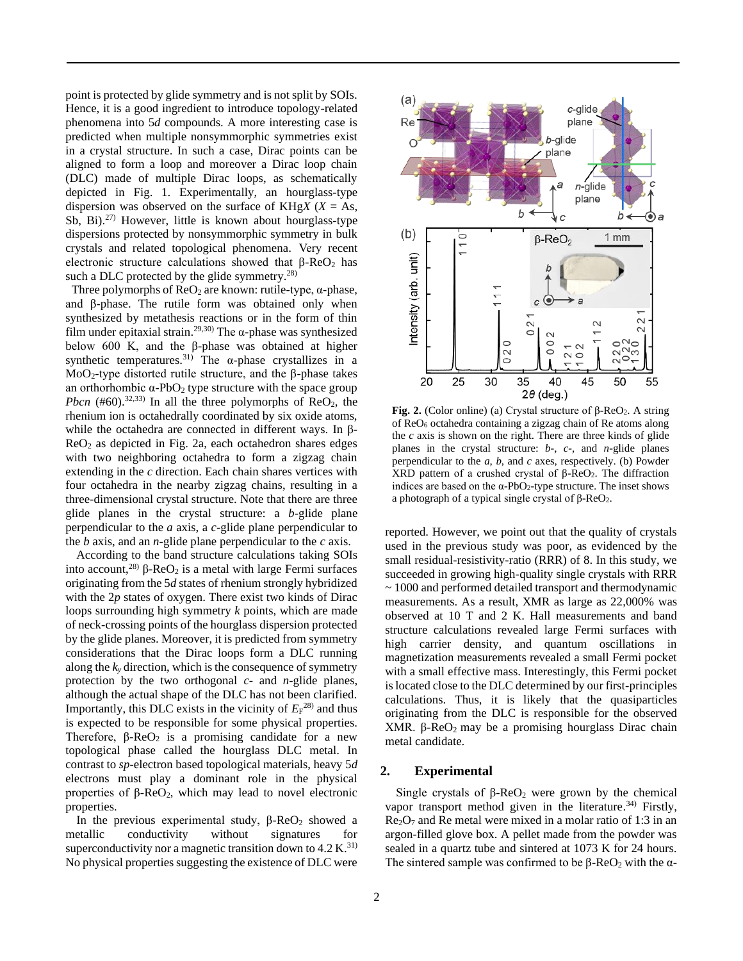point is protected by glide symmetry and is not split by SOIs. Hence, it is a good ingredient to introduce topology-related phenomena into 5*d* compounds. A more interesting case is predicted when multiple nonsymmorphic symmetries exist in a crystal structure. In such a case, Dirac points can be aligned to form a loop and moreover a Dirac loop chain (DLC) made of multiple Dirac loops, as schematically depicted in Fig. 1. Experimentally, an hourglass-type dispersion was observed on the surface of  $KHgX$  ( $X = As$ , Sb, Bi).<sup>27)</sup> However, little is known about hourglass-type dispersions protected by nonsymmorphic symmetry in bulk crystals and related topological phenomena. Very recent electronic structure calculations showed that  $\beta$ -ReO<sub>2</sub> has such a DLC protected by the glide symmetry.<sup>28)</sup>

Three polymorphs of  $\text{ReO}_2$  are known: rutile-type,  $\alpha$ -phase, and β-phase. The rutile form was obtained only when synthesized by metathesis reactions or in the form of thin film under epitaxial strain.<sup>29,30</sup> The  $\alpha$ -phase was synthesized below 600 K, and the β-phase was obtained at higher synthetic temperatures.<sup>31)</sup> The  $\alpha$ -phase crystallizes in a MoO2-type distorted rutile structure, and the β-phase takes an orthorhombic  $\alpha$ -PbO<sub>2</sub> type structure with the space group *Pbcn* (#60).<sup>32,33)</sup> In all the three polymorphs of  $\text{ReO}_2$ , the rhenium ion is octahedrally coordinated by six oxide atoms, while the octahedra are connected in different ways. In β-ReO<sup>2</sup> as depicted in Fig. 2a, each octahedron shares edges with two neighboring octahedra to form a zigzag chain extending in the *c* direction. Each chain shares vertices with four octahedra in the nearby zigzag chains, resulting in a three-dimensional crystal structure. Note that there are three glide planes in the crystal structure: a *b*-glide plane perpendicular to the *a* axis, a *c*-glide plane perpendicular to the *b* axis, and an *n*-glide plane perpendicular to the *c* axis.

According to the band structure calculations taking SOIs into account,<sup>28)</sup> β-ReO<sub>2</sub> is a metal with large Fermi surfaces originating from the 5*d* states of rhenium strongly hybridized with the 2*p* states of oxygen. There exist two kinds of Dirac loops surrounding high symmetry *k* points, which are made of neck-crossing points of the hourglass dispersion protected by the glide planes. Moreover, it is predicted from symmetry considerations that the Dirac loops form a DLC running along the  $k_y$  direction, which is the consequence of symmetry protection by the two orthogonal *c*- and *n*-glide planes, although the actual shape of the DLC has not been clarified. Importantly, this DLC exists in the vicinity of  $E_F^{28}$  and thus is expected to be responsible for some physical properties. Therefore,  $\beta$ -ReO<sub>2</sub> is a promising candidate for a new topological phase called the hourglass DLC metal. In contrast to *sp*-electron based topological materials, heavy 5*d* electrons must play a dominant role in the physical properties of  $β$ -ReO<sub>2</sub>, which may lead to novel electronic properties.

In the previous experimental study,  $β$ -ReO<sub>2</sub> showed a metallic conductivity without signatures for superconductivity nor a magnetic transition down to  $4.2 \text{ K.}^{31}$ No physical properties suggesting the existence of DLC were



**Fig. 2.** (Color online) (a) Crystal structure of β-ReO<sub>2</sub>. A string of ReO<sup>6</sup> octahedra containing a zigzag chain of Re atoms along the *c* axis is shown on the right. There are three kinds of glide planes in the crystal structure: *b*-, *c*-, and *n*-glide planes perpendicular to the *a*, *b*, and *c* axes, respectively. (b) Powder XRD pattern of a crushed crystal of  $β$ -ReO<sub>2</sub>. The diffraction indices are based on the  $\alpha$ -PbO<sub>2</sub>-type structure. The inset shows a photograph of a typical single crystal of  $β$ -ReO<sub>2</sub>.

reported. However, we point out that the quality of crystals used in the previous study was poor, as evidenced by the small residual-resistivity-ratio (RRR) of 8. In this study, we succeeded in growing high-quality single crystals with RRR ~ 1000 and performed detailed transport and thermodynamic measurements. As a result, XMR as large as 22,000% was observed at 10 T and 2 K. Hall measurements and band structure calculations revealed large Fermi surfaces with high carrier density, and quantum oscillations in magnetization measurements revealed a small Fermi pocket with a small effective mass. Interestingly, this Fermi pocket is located close to the DLC determined by our first-principles calculations. Thus, it is likely that the quasiparticles originating from the DLC is responsible for the observed XMR. β-Re $O_2$  may be a promising hourglass Dirac chain metal candidate.

# **2. Experimental**

Single crystals of  $\beta$ -ReO<sub>2</sub> were grown by the chemical vapor transport method given in the literature.<sup>34)</sup> Firstly, Re2O<sup>7</sup> and Re metal were mixed in a molar ratio of 1:3 in an argon-filled glove box. A pellet made from the powder was sealed in a quartz tube and sintered at 1073 K for 24 hours. The sintered sample was confirmed to be  $\beta$ -ReO<sub>2</sub> with the  $\alpha$ -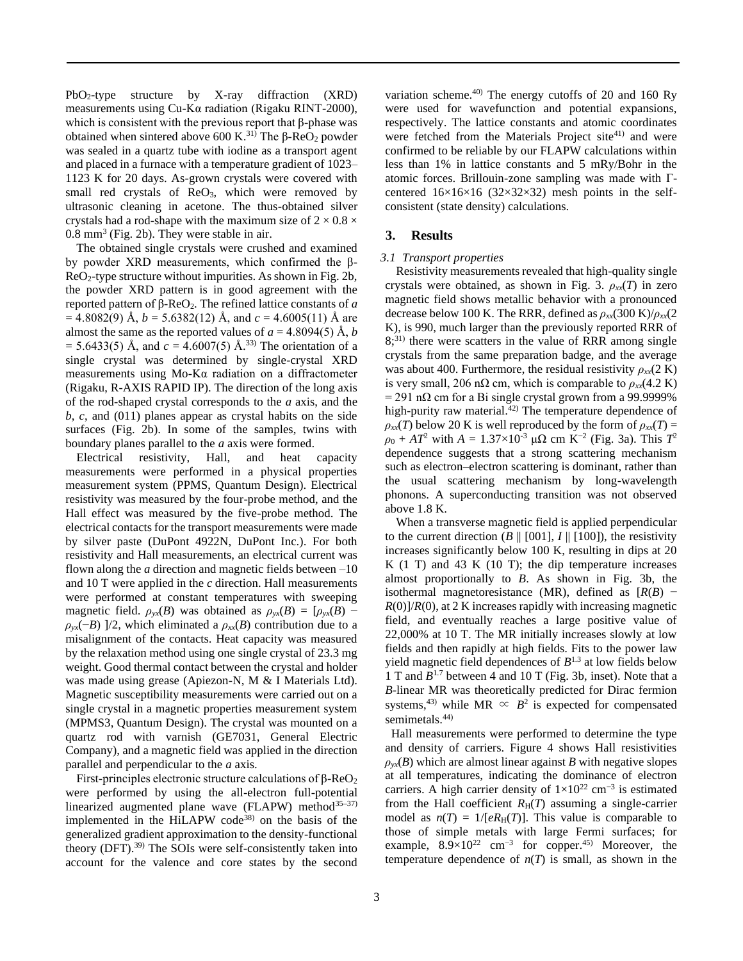$PbO<sub>2</sub>$ -type structure by X-ray diffraction (XRD) measurements using Cu-Kα radiation (Rigaku RINT-2000), which is consistent with the previous report that β-phase was obtained when sintered above 600 K.<sup>31)</sup> The β-ReO<sub>2</sub> powder was sealed in a quartz tube with iodine as a transport agent and placed in a furnace with a temperature gradient of 1023– 1123 K for 20 days. As-grown crystals were covered with small red crystals of ReO<sub>3</sub>, which were removed by ultrasonic cleaning in acetone. The thus-obtained silver crystals had a rod-shape with the maximum size of  $2 \times 0.8 \times$  $0.8$  mm<sup>3</sup> (Fig. 2b). They were stable in air.

The obtained single crystals were crushed and examined by powder XRD measurements, which confirmed the β-ReO2-type structure without impurities. As shown in Fig. 2b, the powder XRD pattern is in good agreement with the reported pattern of β-ReO2. The refined lattice constants of *a*  $= 4.8082(9)$  Å,  $b = 5.6382(12)$  Å, and  $c = 4.6005(11)$  Å are almost the same as the reported values of  $a = 4.8094(5)$  Å, *b*  $= 5.6433(5)$  Å, and  $c = 4.6007(5)$  Å.<sup>33)</sup> The orientation of a single crystal was determined by single-crystal XRD measurements using Mo-Kα radiation on a diffractometer (Rigaku, R-AXIS RAPID IP). The direction of the long axis of the rod-shaped crystal corresponds to the *a* axis, and the *b*, *c*, and (011) planes appear as crystal habits on the side surfaces (Fig. 2b). In some of the samples, twins with boundary planes parallel to the *a* axis were formed.

Electrical resistivity, Hall, and heat capacity measurements were performed in a physical properties measurement system (PPMS, Quantum Design). Electrical resistivity was measured by the four-probe method, and the Hall effect was measured by the five-probe method. The electrical contacts for the transport measurements were made by silver paste (DuPont 4922N, DuPont Inc.). For both resistivity and Hall measurements, an electrical current was flown along the *a* direction and magnetic fields between –10 and 10 T were applied in the *c* direction. Hall measurements were performed at constant temperatures with sweeping magnetic field.  $\rho_{vx}(B)$  was obtained as  $\rho_{vx}(B) = [\rho_{vx}(B)$  −  $\rho_{yx}(-B)$  ]/2, which eliminated a  $\rho_{xx}(B)$  contribution due to a misalignment of the contacts. Heat capacity was measured by the relaxation method using one single crystal of 23.3 mg weight. Good thermal contact between the crystal and holder was made using grease (Apiezon-N, M & I Materials Ltd). Magnetic susceptibility measurements were carried out on a single crystal in a magnetic properties measurement system (MPMS3, Quantum Design). The crystal was mounted on a quartz rod with varnish (GE7031, General Electric Company), and a magnetic field was applied in the direction parallel and perpendicular to the *a* axis.

First-principles electronic structure calculations of  $β$ -ReO<sub>2</sub> were performed by using the all-electron full-potential linearized augmented plane wave (FLAPW) method $35-37$ ) implemented in the HiLAPW code<sup>38)</sup> on the basis of the generalized gradient approximation to the density-functional theory (DFT). 39) The SOIs were self-consistently taken into account for the valence and core states by the second

variation scheme.<sup>40)</sup> The energy cutoffs of 20 and 160 Ry were used for wavefunction and potential expansions, respectively. The lattice constants and atomic coordinates were fetched from the Materials Project site<sup>41)</sup> and were confirmed to be reliable by our FLAPW calculations within less than 1% in lattice constants and 5 mRy/Bohr in the atomic forces. Brillouin-zone sampling was made with Γcentered  $16\times16\times16$  (32×32×32) mesh points in the selfconsistent (state density) calculations.

# **3. Results**

# *3.1 Transport properties*

Resistivity measurements revealed that high-quality single crystals were obtained, as shown in Fig. 3.  $\rho_{xx}(T)$  in zero magnetic field shows metallic behavior with a pronounced decrease below 100 K. The RRR, defined as  $\rho_{xx}(300 \text{ K})/\rho_{xx}(2)$ K), is 990, much larger than the previously reported RRR of 8; 31) there were scatters in the value of RRR among single crystals from the same preparation badge, and the average was about 400. Furthermore, the residual resistivity  $\rho_{xx}(2 K)$ is very small, 206 nΩ cm, which is comparable to  $\rho_{xx}(4.2 \text{ K})$  $= 291$  n $\Omega$  cm for a Bi single crystal grown from a 99.9999% high-purity raw material.<sup>42)</sup> The temperature dependence of  $\rho_{xx}(T)$  below 20 K is well reproduced by the form of  $\rho_{xx}(T)$  =  $ρ<sub>0</sub> + AT<sup>2</sup>$  with  $A = 1.37×10<sup>-3</sup>$  μΩ cm K<sup>-2</sup> (Fig. 3a). This  $T<sup>2</sup>$ dependence suggests that a strong scattering mechanism such as electron–electron scattering is dominant, rather than the usual scattering mechanism by long-wavelength phonons. A superconducting transition was not observed above 1.8 K.

When a transverse magnetic field is applied perpendicular to the current direction  $(B \parallel [001], I \parallel [100])$ , the resistivity increases significantly below 100 K, resulting in dips at 20 K  $(1 T)$  and 43 K  $(10 T)$ ; the dip temperature increases almost proportionally to *B*. As shown in Fig. 3b, the isothermal magnetoresistance (MR), defined as  $[R(B)$  – *R*(0)]/*R*(0), at 2 K increases rapidly with increasing magnetic field, and eventually reaches a large positive value of 22,000% at 10 T. The MR initially increases slowly at low fields and then rapidly at high fields. Fits to the power law yield magnetic field dependences of  $B<sup>1.3</sup>$  at low fields below 1 T and  $B^{1.7}$  between 4 and 10 T (Fig. 3b, inset). Note that a *B*-linear MR was theoretically predicted for Dirac fermion systems,<sup>43)</sup> while MR  $\propto B^2$  is expected for compensated semimetals. 44)

Hall measurements were performed to determine the type and density of carriers. Figure 4 shows Hall resistivities  $\rho_{yx}(B)$  which are almost linear against *B* with negative slopes at all temperatures, indicating the dominance of electron carriers. A high carrier density of  $1 \times 10^{22}$  cm<sup>-3</sup> is estimated from the Hall coefficient  $R_H(T)$  assuming a single-carrier model as  $n(T) = 1/[eR_H(T)]$ . This value is comparable to those of simple metals with large Fermi surfaces; for example,  $8.9 \times 10^{22}$  cm<sup>-3</sup> for copper.<sup>45)</sup> Moreover, the temperature dependence of  $n(T)$  is small, as shown in the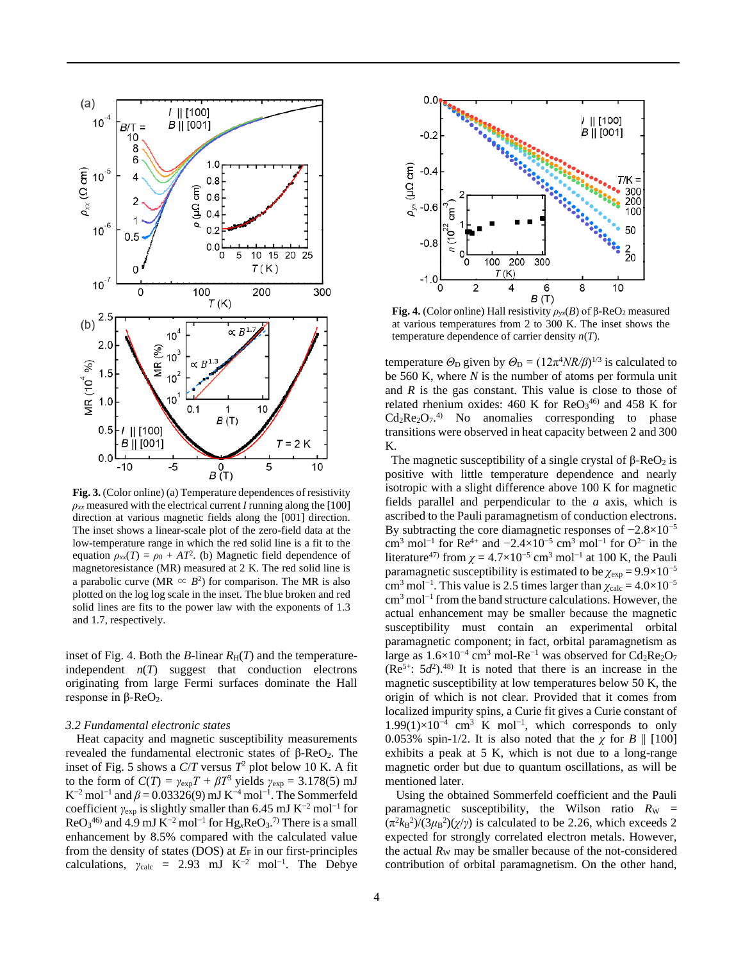

**Fig. 3.** (Color online) (a) Temperature dependences of resistivity  $\rho_{xx}$  measured with the electrical current *I* running along the [100] direction at various magnetic fields along the [001] direction. The inset shows a linear-scale plot of the zero-field data at the low-temperature range in which the red solid line is a fit to the equation  $\rho_{xx}(T) = \rho_0 + AT^2$ . (b) Magnetic field dependence of magnetoresistance (MR) measured at 2 K. The red solid line is a parabolic curve (MR  $\propto B^2$ ) for comparison. The MR is also plotted on the log log scale in the inset. The blue broken and red solid lines are fits to the power law with the exponents of 1.3 and 1.7, respectively.

inset of Fig. 4. Both the *B*-linear  $R_H(T)$  and the temperatureindependent  $n(T)$  suggest that conduction electrons originating from large Fermi surfaces dominate the Hall response in  $β$ -ReO<sub>2</sub>.

#### *3.2 Fundamental electronic states*

Heat capacity and magnetic susceptibility measurements revealed the fundamental electronic states of  $β$ -ReO<sub>2</sub>. The inset of Fig. 5 shows a  $C/T$  versus  $T^2$  plot below 10 K. A fit to the form of  $C(T) = \gamma_{exp}T + \beta T^3$  yields  $\gamma_{exp} = 3.178(5)$  mJ K<sup>-2</sup> mol<sup>-1</sup> and  $\beta$  = 0.03326(9) mJ K<sup>-4</sup> mol<sup>-1</sup>. The Sommerfeld coefficient  $\gamma_{\rm exp}$  is slightly smaller than 6.45 mJ K<sup>-2</sup> mol<sup>-1</sup> for  $\text{ReO}_3^{46}$  and 4.9 mJ K<sup>-2</sup> mol<sup>-1</sup> for Hg<sub>x</sub>ReO<sub>3</sub>.<sup>7)</sup> There is a small enhancement by 8.5% compared with the calculated value from the density of states (DOS) at  $E_F$  in our first-principles calculations,  $\gamma_{\text{calc}}$  = 2.93 mJ K<sup>-2</sup> mol<sup>-1</sup>. The Debye



**Fig. 4.** (Color online) Hall resistivity  $ρ_{yx}(B)$  of β-ReO<sub>2</sub> measured at various temperatures from 2 to 300 K. The inset shows the temperature dependence of carrier density *n*(*T*).

temperature  $\Theta_{\text{D}}$  given by  $\Theta_{\text{D}} = (12\pi^4 N R/\beta)^{1/3}$  is calculated to be 560 K, where *N* is the number of atoms per formula unit and *R* is the gas constant. This value is close to those of related rhenium oxides: 460 K for  $\text{ReO}_3^{46}$  and 458 K for  $Cd<sub>2</sub>Re<sub>2</sub>O<sub>7</sub><sup>4</sup>$  No anomalies corresponding to phase transitions were observed in heat capacity between 2 and 300 K.

The magnetic susceptibility of a single crystal of  $\beta$ -ReO<sub>2</sub> is positive with little temperature dependence and nearly isotropic with a slight difference above 100 K for magnetic fields parallel and perpendicular to the *a* axis, which is ascribed to the Pauli paramagnetism of conduction electrons. By subtracting the core diamagnetic responses of −2.8×10−5 cm<sup>3</sup> mol<sup>-1</sup> for Re<sup>4+</sup> and -2.4×10<sup>-5</sup> cm<sup>3</sup> mol<sup>-1</sup> for O<sup>2-</sup> in the literature<sup>47)</sup> from  $\chi = 4.7 \times 10^{-5}$  cm<sup>3</sup> mol<sup>-1</sup> at 100 K, the Pauli paramagnetic susceptibility is estimated to be  $\chi_{exp} = 9.9 \times 10^{-5}$ cm<sup>3</sup> mol−1 . This value is 2.5 times larger than *χ*calc = 4.0×10−5 cm<sup>3</sup> mol−1 from the band structure calculations. However, the actual enhancement may be smaller because the magnetic susceptibility must contain an experimental orbital paramagnetic component; in fact, orbital paramagnetism as large as 1.6×10<sup>-4</sup> cm<sup>3</sup> mol-Re<sup>-1</sup> was observed for Cd<sub>2</sub>Re<sub>2</sub>O<sub>7</sub>  $(Re<sup>5+</sup>: 5d<sup>2</sup>)<sup>48</sup>$  It is noted that there is an increase in the magnetic susceptibility at low temperatures below 50 K, the origin of which is not clear. Provided that it comes from localized impurity spins, a Curie fit gives a Curie constant of  $1.99(1)\times10^{-4}$  cm<sup>3</sup> K mol<sup>-1</sup>, which corresponds to only 0.053% spin-1/2. It is also noted that the  $\gamma$  for *B* || [100] exhibits a peak at 5 K, which is not due to a long-range magnetic order but due to quantum oscillations, as will be mentioned later.

Using the obtained Sommerfeld coefficient and the Pauli paramagnetic susceptibility, the Wilson ratio  $R_{W}$  =  $(\pi^2 k_B^2) / (3 \mu B^2) (\chi/\gamma)$  is calculated to be 2.26, which exceeds 2 expected for strongly correlated electron metals. However, the actual  $R<sub>W</sub>$  may be smaller because of the not-considered contribution of orbital paramagnetism. On the other hand,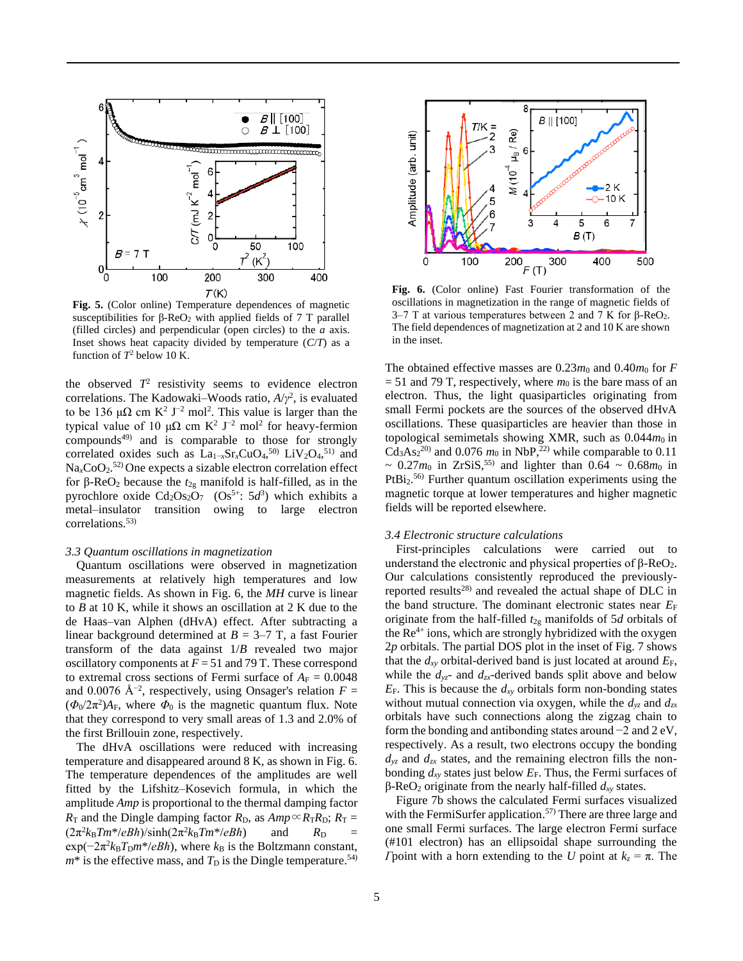

**Fig. 5.** (Color online) Temperature dependences of magnetic susceptibilities for β-ReO<sub>2</sub> with applied fields of  $7$  T parallel (filled circles) and perpendicular (open circles) to the *a* axis. Inset shows heat capacity divided by temperature (*C*/*T*) as a function of  $T^2$  below 10 K.

the observed  $T^2$  resistivity seems to evidence electron correlations. The Kadowaki–Woods ratio,  $A/\gamma^2$ , is evaluated to be 136  $\mu\Omega$  cm K<sup>2</sup> J<sup>-2</sup> mol<sup>2</sup>. This value is larger than the typical value of 10 μ $\Omega$  cm K<sup>2</sup> J<sup>-2</sup> mol<sup>2</sup> for heavy-fermion compounds49) and is comparable to those for strongly correlated oxides such as  $La_{1-x}Sr_xCuO_4$ ,<sup>50)</sup> LiV<sub>2</sub>O<sub>4</sub>,<sup>51)</sup> and Na<sub>x</sub>CoO<sub>2</sub>.<sup>52)</sup> One expects a sizable electron correlation effect for β-ReO<sup>2</sup> because the *t*2g manifold is half-filled, as in the pyrochlore oxide  $Cd_2Os_2O_7$   $(Os^{5+}: 5d^3)$  which exhibits a metal–insulator transition owing to large electron correlations. 53)

#### *3.3 Quantum oscillations in magnetization*

Quantum oscillations were observed in magnetization measurements at relatively high temperatures and low magnetic fields. As shown in Fig. 6, the *MH* curve is linear to *B* at 10 K, while it shows an oscillation at 2 K due to the de Haas–van Alphen (dHvA) effect. After subtracting a linear background determined at  $B = 3-7$  T, a fast Fourier transform of the data against 1/*B* revealed two major oscillatory components at *F* = 51 and 79 T. These correspond to extremal cross sections of Fermi surface of  $A_F = 0.0048$ and 0.0076 Å<sup>-2</sup>, respectively, using Onsager's relation  $F =$  $(\Phi_0/2\pi^2)A_F$ , where  $\Phi_0$  is the magnetic quantum flux. Note that they correspond to very small areas of 1.3 and 2.0% of the first Brillouin zone, respectively.

The dHvA oscillations were reduced with increasing temperature and disappeared around 8 K, as shown in Fig. 6. The temperature dependences of the amplitudes are well fitted by the Lifshitz–Kosevich formula, in which the amplitude *Amp* is proportional to the thermal damping factor *R*T and the Dingle damping factor  $R_D$ , as  $Amp \propto R_T R_D$ ;  $R_T =$  $(2\pi^2 k_B Tm^*/eB\hbar)/\sinh(2\pi^2 k_B Tm^*/eB\hbar)$  and  $R_D =$  $\exp(-2\pi^2 k_B T_D m^* / eB\hbar)$ , where  $k_B$  is the Boltzmann constant,  $m^*$  is the effective mass, and  $T_D$  is the Dingle temperature.<sup>54)</sup>



**Fig. 6.** (Color online) Fast Fourier transformation of the oscillations in magnetization in the range of magnetic fields of 3–7 T at various temperatures between 2 and 7 K for β-ReO2. The field dependences of magnetization at 2 and 10 K are shown in the inset.

The obtained effective masses are  $0.23m_0$  and  $0.40m_0$  for *F*  $= 51$  and 79 T, respectively, where  $m_0$  is the bare mass of an electron. Thus, the light quasiparticles originating from small Fermi pockets are the sources of the observed dHvA oscillations. These quasiparticles are heavier than those in topological semimetals showing XMR, such as  $0.044m_0$  in  $Cd<sub>3</sub>As<sub>2</sub><sup>20)</sup>$  and 0.076  $m<sub>0</sub>$  in NbP,<sup>22)</sup> while comparable to 0.11  $\sim 0.27m_0$  in ZrSiS,<sup>55)</sup> and lighter than 0.64  $\sim 0.68m_0$  in PtBi<sub>2</sub>.<sup>56)</sup> Further quantum oscillation experiments using the magnetic torque at lower temperatures and higher magnetic fields will be reported elsewhere.

# *3.4 Electronic structure calculations*

First-principles calculations were carried out to understand the electronic and physical properties of  $\beta$ -ReO<sub>2</sub>. Our calculations consistently reproduced the previouslyreported results<sup>28)</sup> and revealed the actual shape of DLC in the band structure. The dominant electronic states near  $E_F$ originate from the half-filled  $t_{2g}$  manifolds of 5*d* orbitals of the  $Re^{4+}$  ions, which are strongly hybridized with the oxygen 2*p* orbitals. The partial DOS plot in the inset of Fig. 7 shows that the  $d_{xy}$  orbital-derived band is just located at around  $E_F$ , while the  $d_{yz}$ - and  $d_{zx}$ -derived bands split above and below  $E_F$ . This is because the  $d_{xy}$  orbitals form non-bonding states without mutual connection via oxygen, while the *dyz* and *dzx* orbitals have such connections along the zigzag chain to form the bonding and antibonding states around −2 and 2 eV, respectively. As a result, two electrons occupy the bonding  $d_{yz}$  and  $d_{zx}$  states, and the remaining electron fills the nonbonding *dxy* states just below *E*F. Thus, the Fermi surfaces of β-ReO<sup>2</sup> originate from the nearly half-filled *dxy* states.

Figure 7b shows the calculated Fermi surfaces visualized with the FermiSurfer application.<sup>57)</sup> There are three large and one small Fermi surfaces. The large electron Fermi surface (#101 electron) has an ellipsoidal shape surrounding the *Γ*point with a horn extending to the *U* point at  $k_z = \pi$ . The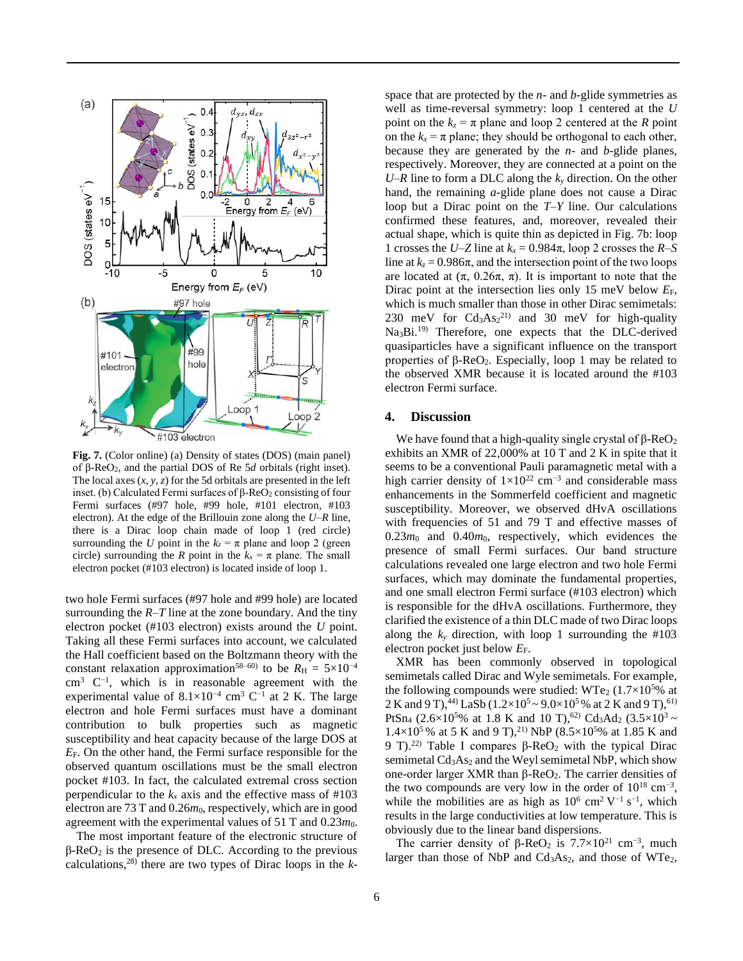

**Fig. 7.** (Color online) (a) Density of states (DOS) (main panel) of β-ReO2, and the partial DOS of Re 5*d* orbitals (right inset). The local axes  $(x, y, z)$  for the 5d orbitals are presented in the left inset. (b) Calculated Fermi surfaces of  $β$ -ReO<sub>2</sub> consisting of four Fermi surfaces (#97 hole, #99 hole, #101 electron, #103 electron). At the edge of the Brillouin zone along the *U*–*R* line, there is a Dirac loop chain made of loop 1 (red circle) surrounding the *U* point in the  $k_z = \pi$  plane and loop 2 (green circle) surrounding the *R* point in the  $k_x = \pi$  plane. The small electron pocket (#103 electron) is located inside of loop 1.

two hole Fermi surfaces (#97 hole and #99 hole) are located surrounding the *R*–*T* line at the zone boundary. And the tiny electron pocket (#103 electron) exists around the *U* point. Taking all these Fermi surfaces into account, we calculated the Hall coefficient based on the Boltzmann theory with the constant relaxation approximation<sup>58–60</sup>) to be  $R_H = 5 \times 10^{-4}$  $\text{cm}^3$  C<sup>-1</sup>, which is in reasonable agreement with the experimental value of  $8.1 \times 10^{-4}$  cm<sup>3</sup> C<sup>-1</sup> at 2 K. The large electron and hole Fermi surfaces must have a dominant contribution to bulk properties such as magnetic susceptibility and heat capacity because of the large DOS at  $E_F$ . On the other hand, the Fermi surface responsible for the observed quantum oscillations must be the small electron pocket #103. In fact, the calculated extremal cross section perpendicular to the  $k_x$  axis and the effective mass of  $\#103$ electron are 73 T and 0.26*m*0, respectively, which are in good agreement with the experimental values of 51 T and  $0.23m_0$ .

The most important feature of the electronic structure of  $β$ -ReO<sub>2</sub> is the presence of DLC. According to the previous calculations, 28) there are two types of Dirac loops in the *k*-

space that are protected by the *n*- and *b*-glide symmetries as well as time-reversal symmetry: loop 1 centered at the *U* point on the  $k_z = \pi$  plane and loop 2 centered at the *R* point on the  $k_x = \pi$  plane; they should be orthogonal to each other, because they are generated by the *n*- and *b*-glide planes, respectively. Moreover, they are connected at a point on the *U*–*R* line to form a DLC along the  $k_y$  direction. On the other hand, the remaining *a*-glide plane does not cause a Dirac loop but a Dirac point on the *T*–*Y* line. Our calculations confirmed these features, and, moreover, revealed their actual shape, which is quite thin as depicted in Fig. 7b: loop 1 crosses the *U*–*Z* line at  $k_x = 0.984\pi$ , loop 2 crosses the *R*–*S* line at  $k<sub>z</sub> = 0.986\pi$ , and the intersection point of the two loops are located at  $(\pi, 0.26\pi, \pi)$ . It is important to note that the Dirac point at the intersection lies only 15 meV below  $E_F$ , which is much smaller than those in other Dirac semimetals: 230 meV for  $Cd_3As_2^{21}$  and 30 meV for high-quality Na<sub>3</sub>Bi.<sup>19)</sup> Therefore, one expects that the DLC-derived quasiparticles have a significant influence on the transport properties of  $β$ -ReO<sub>2</sub>. Especially, loop 1 may be related to the observed XMR because it is located around the #103 electron Fermi surface.

# **4. Discussion**

We have found that a high-quality single crystal of  $\beta$ -ReO<sub>2</sub> exhibits an XMR of 22,000% at 10 T and 2 K in spite that it seems to be a conventional Pauli paramagnetic metal with a high carrier density of  $1 \times 10^{22}$  cm<sup>-3</sup> and considerable mass enhancements in the Sommerfeld coefficient and magnetic susceptibility. Moreover, we observed dHvA oscillations with frequencies of 51 and 79 T and effective masses of  $0.23m_0$  and  $0.40m_0$ , respectively, which evidences the presence of small Fermi surfaces. Our band structure calculations revealed one large electron and two hole Fermi surfaces, which may dominate the fundamental properties, and one small electron Fermi surface (#103 electron) which is responsible for the dHvA oscillations. Furthermore, they clarified the existence of a thin DLC made of two Dirac loops along the  $k_y$  direction, with loop 1 surrounding the  $\#103$ electron pocket just below *E*F.

XMR has been commonly observed in topological semimetals called Dirac and Wyle semimetals. For example, the following compounds were studied: WTe<sub>2</sub> (1.7×10<sup>5</sup>% at 2 K and 9 T),<sup>44)</sup> LaSb ( $1.2\times10^5 \sim 9.0\times10^5$ % at 2 K and 9 T),<sup>61)</sup> PtSn<sub>4</sub> (2.6×10<sup>5</sup>% at 1.8 K and 10 T),<sup>62)</sup> Cd<sub>3</sub>Ad<sub>2</sub> (3.5×10<sup>3</sup> ~  $1.4\times10^5$ % at 5 K and 9 T),<sup>21)</sup> NbP (8.5×10<sup>5</sup>% at 1.85 K and 9 T).<sup>22)</sup> Table I compares β-ReO<sub>2</sub> with the typical Dirac semimetal Cd<sub>3</sub>As<sub>2</sub> and the Weyl semimetal NbP, which show one-order larger XMR than  $β$ -ReO<sub>2</sub>. The carrier densities of the two compounds are very low in the order of  $10^{18}$  cm<sup>-3</sup>, while the mobilities are as high as  $10^6$  cm<sup>2</sup> V<sup>-1</sup> s<sup>-1</sup>, which results in the large conductivities at low temperature. This is obviously due to the linear band dispersions.

The carrier density of  $\beta$ -ReO<sub>2</sub> is 7.7×10<sup>21</sup> cm<sup>-3</sup>, much larger than those of NbP and  $Cd<sub>3</sub>As<sub>2</sub>$ , and those of WTe<sub>2</sub>,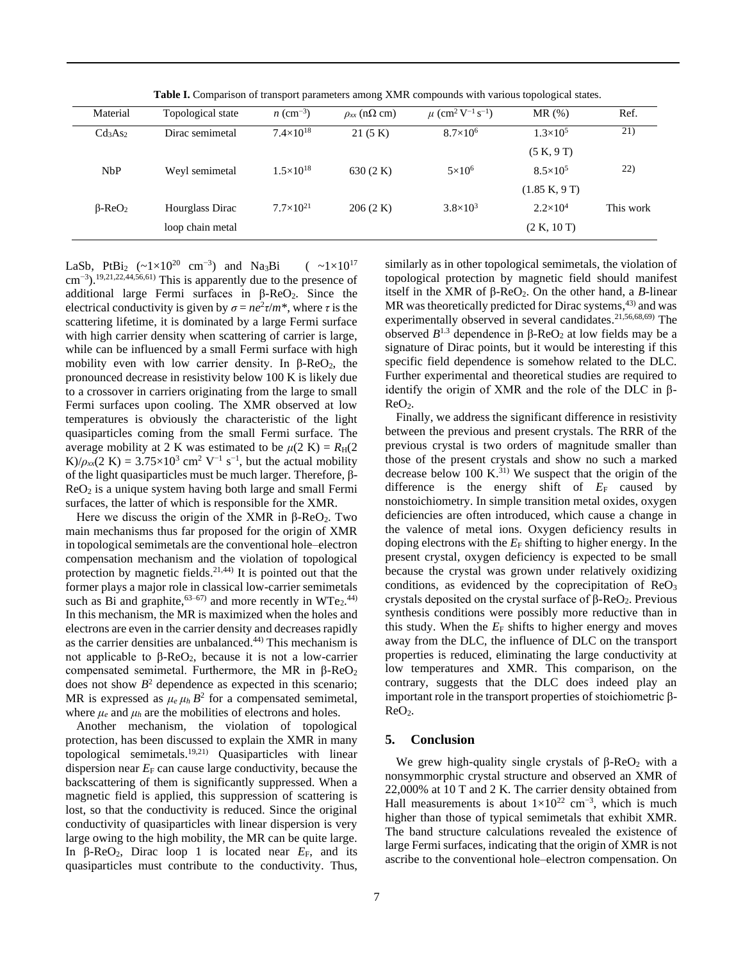| Material                        | Topological state | $n \text{ (cm}^{-3})$ | $\rho_{xx}$ (n $\Omega$ cm) | $\mu$ (cm <sup>2</sup> V <sup>-1</sup> s <sup>-1</sup> ) | MR(%)             | Ref.      |
|---------------------------------|-------------------|-----------------------|-----------------------------|----------------------------------------------------------|-------------------|-----------|
| Cd <sub>3</sub> As <sub>2</sub> | Dirac semimetal   | $7.4\times10^{18}$    | 21(5 K)                     | $8.7\times10^{6}$                                        | $1.3\times10^{5}$ | 21)       |
|                                 |                   |                       |                             |                                                          | (5 K, 9 T)        |           |
| NbP                             | Weyl semimetal    | $1.5\times10^{18}$    | 630(2 K)                    | $5\times10^6$                                            | $8.5 \times 10^5$ | 22)       |
|                                 |                   |                       |                             |                                                          | (1.85 K, 9 T)     |           |
| $\beta$ -ReO <sub>2</sub>       | Hourglass Dirac   | $7.7\times10^{21}$    | 206(2 K)                    | $3.8 \times 10^3$                                        | $2.2\times10^{4}$ | This work |
|                                 | loop chain metal  |                       |                             |                                                          | (2 K, 10 T)       |           |
|                                 |                   |                       |                             |                                                          |                   |           |

**Table I.** Comparison of transport parameters among XMR compounds with various topological states.

LaSb, PtBi<sub>2</sub> (~1×10<sup>20</sup> cm<sup>-3</sup>) and Na<sub>3</sub>Bi (~1×10<sup>17</sup> cm<sup>-3</sup>).<sup>19,21,22,44,56,61)</sup> This is apparently due to the presence of additional large Fermi surfaces in  $β$ -ReO<sub>2</sub>. Since the electrical conductivity is given by  $\sigma = ne^2\tau/m^*$ , where  $\tau$  is the scattering lifetime, it is dominated by a large Fermi surface with high carrier density when scattering of carrier is large, while can be influenced by a small Fermi surface with high mobility even with low carrier density. In β-ReO<sub>2</sub>, the pronounced decrease in resistivity below 100 K is likely due to a crossover in carriers originating from the large to small Fermi surfaces upon cooling. The XMR observed at low temperatures is obviously the characteristic of the light quasiparticles coming from the small Fermi surface. The average mobility at 2 K was estimated to be  $\mu$ (2 K) =  $R_H(2)$ K $/\rho_{xx}(2 \text{ K}) = 3.75 \times 10^3 \text{ cm}^2 \text{ V}^{-1} \text{ s}^{-1}$ , but the actual mobility of the light quasiparticles must be much larger. Therefore, β-ReO<sup>2</sup> is a unique system having both large and small Fermi surfaces, the latter of which is responsible for the XMR.

Here we discuss the origin of the XMR in  $β$ -ReO<sub>2</sub>. Two main mechanisms thus far proposed for the origin of XMR in topological semimetals are the conventional hole–electron compensation mechanism and the violation of topological protection by magnetic fields.<sup>21,44)</sup> It is pointed out that the former plays a major role in classical low-carrier semimetals such as Bi and graphite,  $63-67$  and more recently in WTe<sub>2</sub>.<sup>44)</sup> In this mechanism, the MR is maximized when the holes and electrons are even in the carrier density and decreases rapidly as the carrier densities are unbalanced. 44) This mechanism is not applicable to  $β$ -ReO<sub>2</sub>, because it is not a low-carrier compensated semimetal. Furthermore, the MR in  $β$ -ReO<sub>2</sub> does not show  $B<sup>2</sup>$  dependence as expected in this scenario; MR is expressed as  $\mu_e \mu_h B^2$  for a compensated semimetal, where  $\mu_e$  and  $\mu_h$  are the mobilities of electrons and holes.

Another mechanism, the violation of topological protection, has been discussed to explain the XMR in many topological semimetals. 19,21) Quasiparticles with linear dispersion near  $E_F$  can cause large conductivity, because the backscattering of them is significantly suppressed. When a magnetic field is applied, this suppression of scattering is lost, so that the conductivity is reduced. Since the original conductivity of quasiparticles with linear dispersion is very large owing to the high mobility, the MR can be quite large. In β-ReO<sub>2</sub>, Dirac loop 1 is located near  $E_F$ , and its quasiparticles must contribute to the conductivity. Thus,

similarly as in other topological semimetals, the violation of topological protection by magnetic field should manifest itself in the XMR of  $β$ -ReO<sub>2</sub>. On the other hand, a *B*-linear MR was theoretically predicted for Dirac systems,<sup>43)</sup> and was experimentally observed in several candidates.<sup>21,56,68,69)</sup> The observed  $B^{1.3}$  dependence in  $\beta$ -ReO<sub>2</sub> at low fields may be a signature of Dirac points, but it would be interesting if this specific field dependence is somehow related to the DLC. Further experimental and theoretical studies are required to identify the origin of XMR and the role of the DLC in β- $ReO<sub>2</sub>$ .

Finally, we address the significant difference in resistivity between the previous and present crystals. The RRR of the previous crystal is two orders of magnitude smaller than those of the present crystals and show no such a marked decrease below 100 K. 31) We suspect that the origin of the difference is the energy shift of  $E_F$  caused by nonstoichiometry. In simple transition metal oxides, oxygen deficiencies are often introduced, which cause a change in the valence of metal ions. Oxygen deficiency results in doping electrons with the  $E_F$  shifting to higher energy. In the present crystal, oxygen deficiency is expected to be small because the crystal was grown under relatively oxidizing conditions, as evidenced by the coprecipitation of  $\text{Re}O_3$ crystals deposited on the crystal surface of  $β$ -ReO<sub>2</sub>. Previous synthesis conditions were possibly more reductive than in this study. When the  $E_F$  shifts to higher energy and moves away from the DLC, the influence of DLC on the transport properties is reduced, eliminating the large conductivity at low temperatures and XMR. This comparison, on the contrary, suggests that the DLC does indeed play an important role in the transport properties of stoichiometric β-ReO2.

# **5. Conclusion**

We grew high-quality single crystals of  $β$ -ReO<sub>2</sub> with a nonsymmorphic crystal structure and observed an XMR of 22,000% at 10 T and 2 K. The carrier density obtained from Hall measurements is about  $1 \times 10^{22}$  cm<sup>-3</sup>, which is much higher than those of typical semimetals that exhibit XMR. The band structure calculations revealed the existence of large Fermi surfaces, indicating that the origin of XMR is not ascribe to the conventional hole–electron compensation. On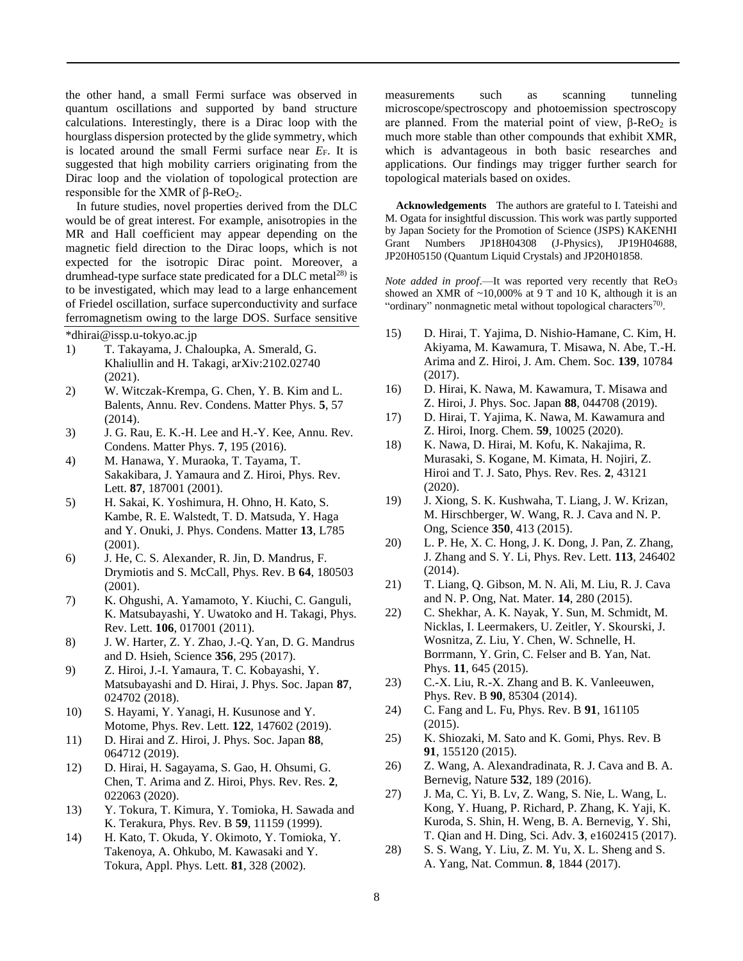the other hand, a small Fermi surface was observed in quantum oscillations and supported by band structure calculations. Interestingly, there is a Dirac loop with the hourglass dispersion protected by the glide symmetry, which is located around the small Fermi surface near  $E_F$ . It is suggested that high mobility carriers originating from the Dirac loop and the violation of topological protection are responsible for the XMR of  $β$ -ReO<sub>2</sub>.

In future studies, novel properties derived from the DLC would be of great interest. For example, anisotropies in the MR and Hall coefficient may appear depending on the magnetic field direction to the Dirac loops, which is not expected for the isotropic Dirac point. Moreover, a drumhead-type surface state predicated for a DLC metal<sup>28)</sup> is to be investigated, which may lead to a large enhancement of Friedel oscillation, surface superconductivity and surface ferromagnetism owing to the large DOS. Surface sensitive

\*dhirai@issp.u-tokyo.ac.jp

- 1) T. Takayama, J. Chaloupka, A. Smerald, G. Khaliullin and H. Takagi, arXiv:2102.02740 (2021).
- 2) W. Witczak-Krempa, G. Chen, Y. B. Kim and L. Balents, Annu. Rev. Condens. Matter Phys. **5**, 57 (2014).
- 3) J. G. Rau, E. K.-H. Lee and H.-Y. Kee, Annu. Rev. Condens. Matter Phys. **7**, 195 (2016).
- 4) M. Hanawa, Y. Muraoka, T. Tayama, T. Sakakibara, J. Yamaura and Z. Hiroi, Phys. Rev. Lett. **87**, 187001 (2001).
- 5) H. Sakai, K. Yoshimura, H. Ohno, H. Kato, S. Kambe, R. E. Walstedt, T. D. Matsuda, Y. Haga and Y. Onuki, J. Phys. Condens. Matter **13**, L785 (2001).
- 6) J. He, C. S. Alexander, R. Jin, D. Mandrus, F. Drymiotis and S. McCall, Phys. Rev. B **64**, 180503 (2001).
- 7) K. Ohgushi, A. Yamamoto, Y. Kiuchi, C. Ganguli, K. Matsubayashi, Y. Uwatoko and H. Takagi, Phys. Rev. Lett. **106**, 017001 (2011).
- 8) J. W. Harter, Z. Y. Zhao, J.-Q. Yan, D. G. Mandrus and D. Hsieh, Science **356**, 295 (2017).
- 9) Z. Hiroi, J.-I. Yamaura, T. C. Kobayashi, Y. Matsubayashi and D. Hirai, J. Phys. Soc. Japan **87**, 024702 (2018).
- 10) S. Hayami, Y. Yanagi, H. Kusunose and Y. Motome, Phys. Rev. Lett. **122**, 147602 (2019).
- 11) D. Hirai and Z. Hiroi, J. Phys. Soc. Japan **88**, 064712 (2019).
- 12) D. Hirai, H. Sagayama, S. Gao, H. Ohsumi, G. Chen, T. Arima and Z. Hiroi, Phys. Rev. Res. **2**, 022063 (2020).
- 13) Y. Tokura, T. Kimura, Y. Tomioka, H. Sawada and K. Terakura, Phys. Rev. B **59**, 11159 (1999).
- 14) H. Kato, T. Okuda, Y. Okimoto, Y. Tomioka, Y. Takenoya, A. Ohkubo, M. Kawasaki and Y. Tokura, Appl. Phys. Lett. **81**, 328 (2002).

measurements such as scanning tunneling microscope/spectroscopy and photoemission spectroscopy are planned. From the material point of view,  $β$ -ReO<sub>2</sub> is much more stable than other compounds that exhibit XMR, which is advantageous in both basic researches and applications. Our findings may trigger further search for topological materials based on oxides.

**Acknowledgements** The authors are grateful to I. Tateishi and M. Ogata for insightful discussion. This work was partly supported by Japan Society for the Promotion of Science (JSPS) KAKENHI Grant Numbers JP18H04308 (J-Physics), JP19H04688, JP20H05150 (Quantum Liquid Crystals) and JP20H01858.

*Note added in proof.*—It was reported very recently that ReO<sub>3</sub> showed an XMR of  $\sim$ 10,000% at 9 T and 10 K, although it is an "ordinary" nonmagnetic metal without topological characters<sup>70)</sup>.

- 15) D. Hirai, T. Yajima, D. Nishio-Hamane, C. Kim, H. Akiyama, M. Kawamura, T. Misawa, N. Abe, T.-H. Arima and Z. Hiroi, J. Am. Chem. Soc. **139**, 10784 (2017).
- 16) D. Hirai, K. Nawa, M. Kawamura, T. Misawa and Z. Hiroi, J. Phys. Soc. Japan **88**, 044708 (2019).
- 17) D. Hirai, T. Yajima, K. Nawa, M. Kawamura and Z. Hiroi, Inorg. Chem. **59**, 10025 (2020).
- 18) K. Nawa, D. Hirai, M. Kofu, K. Nakajima, R. Murasaki, S. Kogane, M. Kimata, H. Nojiri, Z. Hiroi and T. J. Sato, Phys. Rev. Res. **2**, 43121 (2020).
- 19) J. Xiong, S. K. Kushwaha, T. Liang, J. W. Krizan, M. Hirschberger, W. Wang, R. J. Cava and N. P. Ong, Science **350**, 413 (2015).
- 20) L. P. He, X. C. Hong, J. K. Dong, J. Pan, Z. Zhang, J. Zhang and S. Y. Li, Phys. Rev. Lett. **113**, 246402 (2014).
- 21) T. Liang, Q. Gibson, M. N. Ali, M. Liu, R. J. Cava and N. P. Ong, Nat. Mater. **14**, 280 (2015).
- 22) C. Shekhar, A. K. Nayak, Y. Sun, M. Schmidt, M. Nicklas, I. Leermakers, U. Zeitler, Y. Skourski, J. Wosnitza, Z. Liu, Y. Chen, W. Schnelle, H. Borrmann, Y. Grin, C. Felser and B. Yan, Nat. Phys. **11**, 645 (2015).
- 23) C.-X. Liu, R.-X. Zhang and B. K. Vanleeuwen, Phys. Rev. B **90**, 85304 (2014).
- 24) C. Fang and L. Fu, Phys. Rev. B **91**, 161105 (2015).
- 25) K. Shiozaki, M. Sato and K. Gomi, Phys. Rev. B **91**, 155120 (2015).
- 26) Z. Wang, A. Alexandradinata, R. J. Cava and B. A. Bernevig, Nature **532**, 189 (2016).
- 27) J. Ma, C. Yi, B. Lv, Z. Wang, S. Nie, L. Wang, L. Kong, Y. Huang, P. Richard, P. Zhang, K. Yaji, K. Kuroda, S. Shin, H. Weng, B. A. Bernevig, Y. Shi, T. Qian and H. Ding, Sci. Adv. **3**, e1602415 (2017).
- 28) S. S. Wang, Y. Liu, Z. M. Yu, X. L. Sheng and S. A. Yang, Nat. Commun. **8**, 1844 (2017).